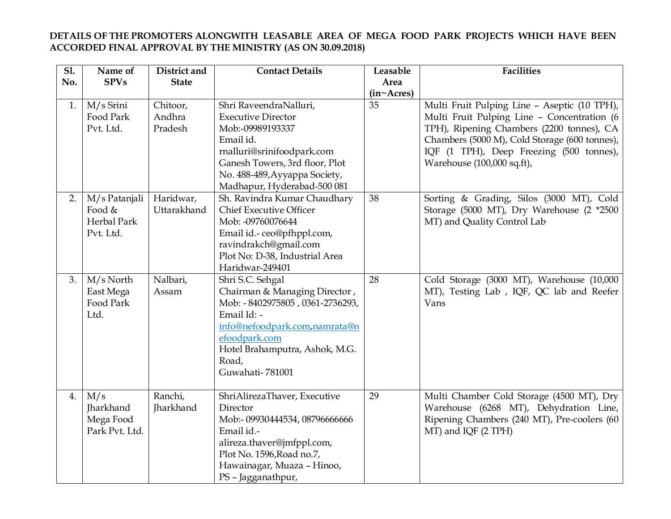## **DETAILS OF THE PROMOTERS ALONGWITH LEASABLE AREA OF MEGA FOOD PARK PROJECTS WHICH HAVE BEEN ACCORDED FINAL APPROVAL BY THE MINISTRY (AS ON 30.09.2018)**

| $\overline{SI}$ | Name of        | District and | <b>Contact Details</b>                          | Leasable   | <b>Facilities</b>                             |
|-----------------|----------------|--------------|-------------------------------------------------|------------|-----------------------------------------------|
| No.             | <b>SPVs</b>    | <b>State</b> |                                                 | Area       |                                               |
|                 |                |              |                                                 | (in~Acres) |                                               |
| 1.              | M/s Srini      | Chitoor,     | Shri RaveendraNalluri,                          | 35         | Multi Fruit Pulping Line - Aseptic (10 TPH),  |
|                 | Food Park      | Andhra       | <b>Executive Director</b>                       |            | Multi Fruit Pulping Line - Concentration (6   |
|                 | Pvt. Ltd.      | Pradesh      | Mob:-09989193337                                |            | TPH), Ripening Chambers (2200 tonnes), CA     |
|                 |                |              | Email id.                                       |            | Chambers (5000 M), Cold Storage (600 tonnes), |
|                 |                |              | rnalluri@srinifoodpark.com                      |            | IQF (1 TPH), Deep Freezing (500 tonnes),      |
|                 |                |              | Ganesh Towers, 3rd floor, Plot                  |            | Warehouse (100,000 sq.ft),                    |
|                 |                |              | No. 488-489, Ayyappa Society,                   |            |                                               |
|                 |                |              | Madhapur, Hyderabad-500 081                     |            |                                               |
| 2.              | M/s Patanjali  | Haridwar,    | Sh. Ravindra Kumar Chaudhary                    | 38         | Sorting & Grading, Silos (3000 MT), Cold      |
|                 | Food &         | Uttarakhand  | <b>Chief Executive Officer</b>                  |            | Storage (5000 MT), Dry Warehouse (2 *2500     |
|                 | Herbal Park    |              | Mob: -09760076644                               |            | MT) and Quality Control Lab                   |
|                 | Pvt. Ltd.      |              | Email id.-ceo@pfhppl.com,                       |            |                                               |
|                 |                |              | ravindrakch@gmail.com                           |            |                                               |
|                 |                |              | Plot No: D-38, Industrial Area                  |            |                                               |
|                 |                |              | Haridwar-249401                                 |            |                                               |
| 3.              | $M/s$ North    | Nalbari,     | Shri S.C. Sehgal                                | 28         | Cold Storage (3000 MT), Warehouse (10,000     |
|                 | East Mega      | Assam        | Chairman & Managing Director,                   |            | MT), Testing Lab , IQF, QC lab and Reefer     |
|                 | Food Park      |              | Mob: - 8402975805, 0361-2736293,                |            | Vans                                          |
|                 | Ltd.           |              | Email Id: -                                     |            |                                               |
|                 |                |              | info@nefoodpark.com,namrata@n                   |            |                                               |
|                 |                |              | efoodpark.com<br>Hotel Brahamputra, Ashok, M.G. |            |                                               |
|                 |                |              | Road,                                           |            |                                               |
|                 |                |              | Guwahati-781001                                 |            |                                               |
|                 |                |              |                                                 |            |                                               |
| 4.              | M/s            | Ranchi,      | ShriAlirezaThaver, Executive                    | 29         | Multi Chamber Cold Storage (4500 MT), Dry     |
|                 | Jharkhand      | Jharkhand    | Director                                        |            | Warehouse (6268 MT), Dehydration Line,        |
|                 | Mega Food      |              | Mob:- 09930444534, 08796666666                  |            | Ripening Chambers (240 MT), Pre-coolers (60   |
|                 | Park Pvt. Ltd. |              | Email id.-                                      |            | MT) and IQF (2 TPH)                           |
|                 |                |              | alireza.thaver@jmfppl.com,                      |            |                                               |
|                 |                |              | Plot No. 1596, Road no.7,                       |            |                                               |
|                 |                |              | Hawainagar, Muaza - Hinoo,                      |            |                                               |
|                 |                |              | PS - Jagganathpur,                              |            |                                               |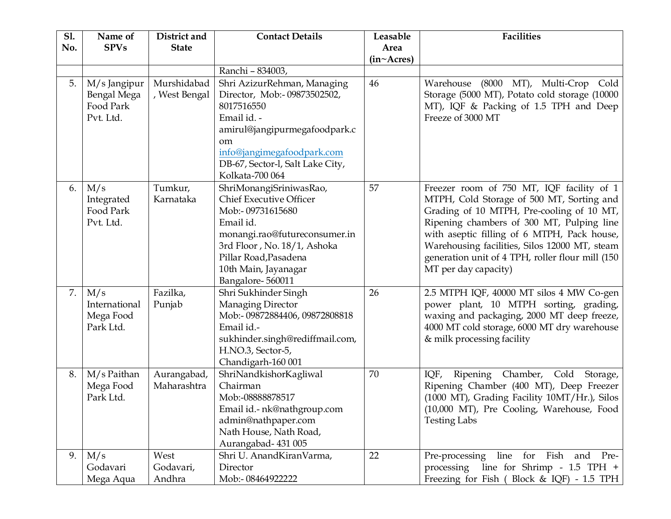| <b>S1.</b><br>No. | Name of<br><b>SPVs</b>                                | District and<br><b>State</b> | <b>Contact Details</b>                                                                                                                                                                                                          | Leasable<br>Area | <b>Facilities</b>                                                                                                                                                                                                                                                                                                                                            |
|-------------------|-------------------------------------------------------|------------------------------|---------------------------------------------------------------------------------------------------------------------------------------------------------------------------------------------------------------------------------|------------------|--------------------------------------------------------------------------------------------------------------------------------------------------------------------------------------------------------------------------------------------------------------------------------------------------------------------------------------------------------------|
|                   |                                                       |                              |                                                                                                                                                                                                                                 | (in~Acres)       |                                                                                                                                                                                                                                                                                                                                                              |
|                   |                                                       |                              | Ranchi - 834003,                                                                                                                                                                                                                |                  |                                                                                                                                                                                                                                                                                                                                                              |
| 5.                | M/s Jangipur<br>Bengal Mega<br>Food Park<br>Pvt. Ltd. | Murshidabad<br>, West Bengal | Shri AzizurRehman, Managing<br>Director, Mob:- 09873502502,<br>8017516550<br>Email id. -<br>amirul@jangipurmegafoodpark.c<br><sub>om</sub><br>info@jangimegafoodpark.com<br>DB-67, Sector-l, Salt Lake City,<br>Kolkata-700 064 | 46               | Warehouse (8000 MT), Multi-Crop Cold<br>Storage (5000 MT), Potato cold storage (10000<br>MT), IQF & Packing of 1.5 TPH and Deep<br>Freeze of 3000 MT                                                                                                                                                                                                         |
| 6.                | M/s<br>Integrated<br>Food Park<br>Pvt. Ltd.           | Tumkur,<br>Karnataka         | ShriMonangiSriniwasRao,<br><b>Chief Executive Officer</b><br>Mob:-09731615680<br>Email id.<br>monangi.rao@futureconsumer.in<br>3rd Floor, No. 18/1, Ashoka<br>Pillar Road, Pasadena<br>10th Main, Jayanagar<br>Bangalore-560011 | 57               | Freezer room of 750 MT, IQF facility of 1<br>MTPH, Cold Storage of 500 MT, Sorting and<br>Grading of 10 MTPH, Pre-cooling of 10 MT,<br>Ripening chambers of 300 MT, Pulping line<br>with aseptic filling of 6 MTPH, Pack house,<br>Warehousing facilities, Silos 12000 MT, steam<br>generation unit of 4 TPH, roller flour mill (150<br>MT per day capacity) |
| 7.                | M/s<br>International<br>Mega Food<br>Park Ltd.        | Fazilka,<br>Punjab           | Shri Sukhinder Singh<br>Managing Director<br>Mob:- 09872884406, 09872808818<br>Email id.-<br>sukhinder.singh@rediffmail.com,<br>H.NO.3, Sector-5,<br>Chandigarh-160 001                                                         | 26               | 2.5 MTPH IQF, 40000 MT silos 4 MW Co-gen<br>power plant, 10 MTPH sorting, grading,<br>waxing and packaging, 2000 MT deep freeze,<br>4000 MT cold storage, 6000 MT dry warehouse<br>& milk processing facility                                                                                                                                                |
| 8.                | M/s Paithan<br>Mega Food<br>Park Ltd.                 | Aurangabad,<br>Maharashtra   | ShriNandkishorKagliwal<br>Chairman<br>Mob:-08888878517<br>Email id.- nk@nathgroup.com<br>admin@nathpaper.com<br>Nath House, Nath Road,<br>Aurangabad-431005                                                                     | 70               | Ripening Chamber, Cold<br>IQF,<br>Storage,<br>Ripening Chamber (400 MT), Deep Freezer<br>(1000 MT), Grading Facility 10MT/Hr.), Silos<br>(10,000 MT), Pre Cooling, Warehouse, Food<br><b>Testing Labs</b>                                                                                                                                                    |
| 9.                | M/s<br>Godavari<br>Mega Aqua                          | West<br>Godavari,<br>Andhra  | Shri U. AnandKiranVarma,<br>Director<br>Mob:-08464922222                                                                                                                                                                        | 22               | line for Fish<br>Pre-processing<br>and Pre-<br>processing line for Shrimp - 1.5 TPH +<br>Freezing for Fish (Block & IQF) - 1.5 TPH                                                                                                                                                                                                                           |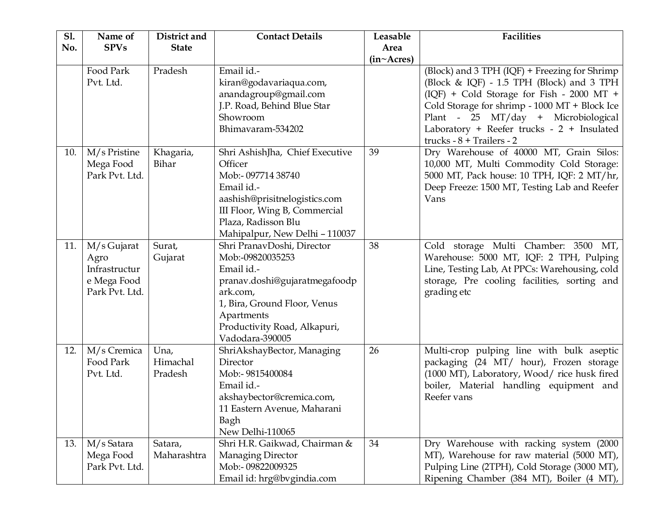| <b>S1.</b> | Name of                                                               | District and                | <b>Contact Details</b>                                                                                                                                                                                     | Leasable                          | <b>Facilities</b>                                                                                                                                                                                                                                                                                            |
|------------|-----------------------------------------------------------------------|-----------------------------|------------------------------------------------------------------------------------------------------------------------------------------------------------------------------------------------------------|-----------------------------------|--------------------------------------------------------------------------------------------------------------------------------------------------------------------------------------------------------------------------------------------------------------------------------------------------------------|
| No.        | <b>SPVs</b>                                                           | <b>State</b>                |                                                                                                                                                                                                            | Area<br>$(in \sim A \text{cres})$ |                                                                                                                                                                                                                                                                                                              |
|            | Food Park<br>Pvt. Ltd.                                                | Pradesh                     | Email id.-<br>kiran@godavariaqua.com,<br>anandagroup@gmail.com<br>J.P. Road, Behind Blue Star<br>Showroom<br>Bhimavaram-534202                                                                             |                                   | (Block) and 3 TPH (IQF) + Freezing for Shrimp<br>(Block & IQF) - 1.5 TPH (Block) and 3 TPH<br>(IQF) + Cold Storage for Fish - 2000 MT +<br>Cold Storage for shrimp - 1000 MT + Block Ice<br>Plant - 25 MT/day + Microbiological<br>Laboratory + Reefer trucks - 2 + Insulated<br>trucks - $8$ + Trailers - 2 |
| 10.        | M/s Pristine<br>Mega Food<br>Park Pvt. Ltd.                           | Khagaria,<br>Bihar          | Shri AshishJha, Chief Executive<br>Officer<br>Mob:- 097714 38740<br>Email id.-<br>aashish@prisitnelogistics.com<br>III Floor, Wing B, Commercial<br>Plaza, Radisson Blu<br>Mahipalpur, New Delhi - 110037  | 39                                | Dry Warehouse of 40000 MT, Grain Silos:<br>10,000 MT, Multi Commodity Cold Storage:<br>5000 MT, Pack house: 10 TPH, IQF: 2 MT/hr,<br>Deep Freeze: 1500 MT, Testing Lab and Reefer<br>Vans                                                                                                                    |
| 11.        | M/s Gujarat<br>Agro<br>Infrastructur<br>e Mega Food<br>Park Pvt. Ltd. | Surat,<br>Gujarat           | Shri PranavDoshi, Director<br>Mob:-09820035253<br>Email id.-<br>pranav.doshi@gujaratmegafoodp<br>ark.com,<br>1, Bira, Ground Floor, Venus<br>Apartments<br>Productivity Road, Alkapuri,<br>Vadodara-390005 | 38                                | Cold storage Multi Chamber: 3500 MT,<br>Warehouse: 5000 MT, IQF: 2 TPH, Pulping<br>Line, Testing Lab, At PPCs: Warehousing, cold<br>storage, Pre cooling facilities, sorting and<br>grading etc                                                                                                              |
| 12.        | M/s Cremica<br>Food Park<br>Pvt. Ltd.                                 | Una,<br>Himachal<br>Pradesh | ShriAkshayBector, Managing<br>Director<br>Mob:- 9815400084<br>Email id.-<br>akshaybector@cremica.com,<br>11 Eastern Avenue, Maharani<br>Bagh<br>New Delhi-110065                                           | 26                                | Multi-crop pulping line with bulk aseptic<br>packaging (24 MT/ hour), Frozen storage<br>(1000 MT), Laboratory, Wood/ rice husk fired<br>boiler, Material handling equipment and<br>Reefer vans                                                                                                               |
| 13.        | M/s Satara<br>Mega Food<br>Park Pvt. Ltd.                             | Satara,<br>Maharashtra      | Shri H.R. Gaikwad, Chairman &<br>Managing Director<br>Mob:-09822009325<br>Email id: hrg@bvgindia.com                                                                                                       | 34                                | Dry Warehouse with racking system (2000<br>MT), Warehouse for raw material (5000 MT),<br>Pulping Line (2TPH), Cold Storage (3000 MT),<br>Ripening Chamber (384 MT), Boiler (4 MT),                                                                                                                           |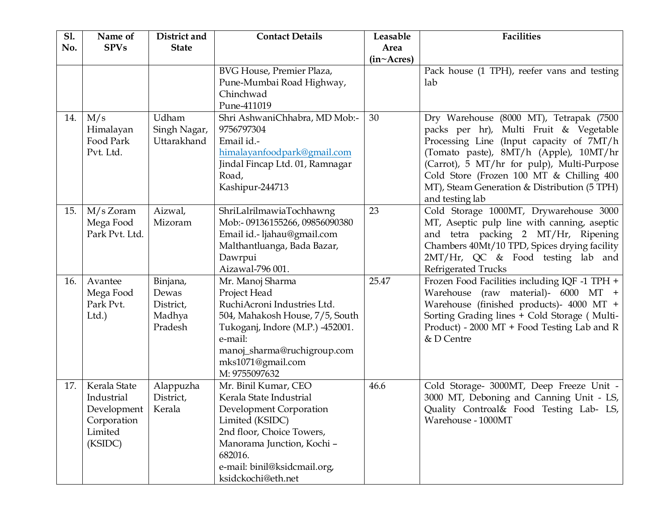| <b>S1.</b> | Name of                                                                        | District and                                        | <b>Contact Details</b>                                                                                                                                                                                                    | Leasable   | <b>Facilities</b>                                                                                                                                                                                                                                                                                                                    |
|------------|--------------------------------------------------------------------------------|-----------------------------------------------------|---------------------------------------------------------------------------------------------------------------------------------------------------------------------------------------------------------------------------|------------|--------------------------------------------------------------------------------------------------------------------------------------------------------------------------------------------------------------------------------------------------------------------------------------------------------------------------------------|
| No.        | <b>SPVs</b>                                                                    | <b>State</b>                                        |                                                                                                                                                                                                                           | Area       |                                                                                                                                                                                                                                                                                                                                      |
|            |                                                                                |                                                     | BVG House, Premier Plaza,<br>Pune-Mumbai Road Highway,<br>Chinchwad<br>Pune-411019                                                                                                                                        | (in~Acres) | Pack house (1 TPH), reefer vans and testing<br>lab                                                                                                                                                                                                                                                                                   |
| 14.        | M/s<br>Himalayan<br>Food Park<br>Pvt. Ltd.                                     | Udham<br>Singh Nagar,<br>Uttarakhand                | Shri AshwaniChhabra, MD Mob:-<br>9756797304<br>Email id.-<br>himalayanfoodpark@gmail.com<br>Jindal Fincap Ltd. 01, Ramnagar<br>Road,<br>Kashipur-244713                                                                   | 30         | Dry Warehouse (8000 MT), Tetrapak (7500<br>packs per hr), Multi Fruit & Vegetable<br>Processing Line (Input capacity of 7MT/h<br>(Tomato paste), 8MT/h (Apple), 10MT/hr<br>(Carrot), 5 MT/hr for pulp), Multi-Purpose<br>Cold Store (Frozen 100 MT & Chilling 400<br>MT), Steam Generation & Distribution (5 TPH)<br>and testing lab |
| 15.        | $M/s$ Zoram<br>Mega Food<br>Park Pvt. Ltd.                                     | Aizwal,<br>Mizoram                                  | ShriLalrilmawiaTochhawng<br>Mob:- 09136155266, 09856090380<br>Email id.- ljahau@gmail.com<br>Malthantluanga, Bada Bazar,<br>Dawrpui<br>Aizawal-796 001.                                                                   | 23         | Cold Storage 1000MT, Drywarehouse 3000<br>MT, Aseptic pulp line with canning, aseptic<br>and tetra packing 2 MT/Hr, Ripening<br>Chambers 40Mt/10 TPD, Spices drying facility<br>2MT/Hr, QC & Food testing lab and<br>Refrigerated Trucks                                                                                             |
| 16.        | Avantee<br>Mega Food<br>Park Pvt.<br>Ltd.                                      | Binjana,<br>Dewas<br>District,<br>Madhya<br>Pradesh | Mr. Manoj Sharma<br>Project Head<br>RuchiAcroni Industries Ltd.<br>504, Mahakosh House, 7/5, South<br>Tukoganj, Indore (M.P.) -452001.<br>e-mail:<br>manoj_sharma@ruchigroup.com<br>mks1071@gmail.com<br>M: 9755097632    | 25.47      | Frozen Food Facilities including IQF -1 TPH +<br>Warehouse (raw material)- 6000 MT +<br>Warehouse (finished products)- 4000 MT +<br>Sorting Grading lines + Cold Storage (Multi-<br>Product) - 2000 MT + Food Testing Lab and R<br>& D Centre                                                                                        |
| 17.        | Kerala State<br>Industrial<br>Development<br>Corporation<br>Limited<br>(KSIDC) | Alappuzha<br>District,<br>Kerala                    | Mr. Binil Kumar, CEO<br>Kerala State Industrial<br>Development Corporation<br>Limited (KSIDC)<br>2nd floor, Choice Towers,<br>Manorama Junction, Kochi -<br>682016.<br>e-mail: binil@ksidcmail.org,<br>ksidckochi@eth.net | 46.6       | Cold Storage- 3000MT, Deep Freeze Unit -<br>3000 MT, Deboning and Canning Unit - LS,<br>Quality Controal& Food Testing Lab- LS,<br>Warehouse - 1000MT                                                                                                                                                                                |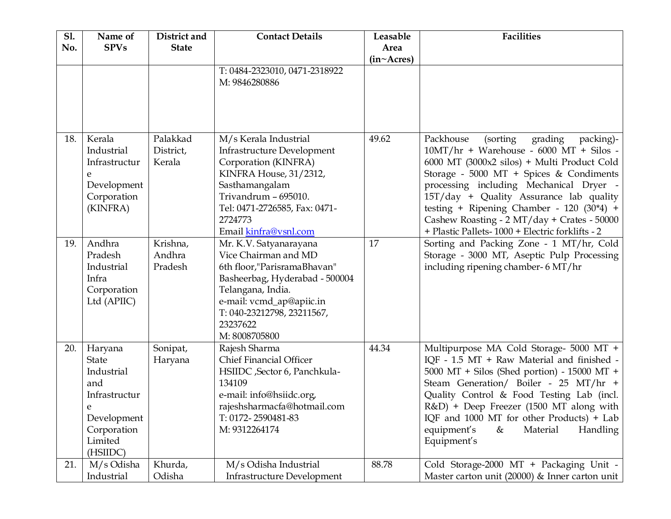| <b>S1.</b> | Name of       | District and | <b>Contact Details</b>            | Leasable   | <b>Facilities</b>                               |
|------------|---------------|--------------|-----------------------------------|------------|-------------------------------------------------|
| No.        | <b>SPVs</b>   | <b>State</b> |                                   | Area       |                                                 |
|            |               |              | T: 0484-2323010, 0471-2318922     | (in~Acres) |                                                 |
|            |               |              | M: 9846280886                     |            |                                                 |
|            |               |              |                                   |            |                                                 |
|            |               |              |                                   |            |                                                 |
|            |               |              |                                   |            |                                                 |
| 18.        | Kerala        | Palakkad     | M/s Kerala Industrial             | 49.62      | Packhouse<br>(sorting)<br>grading<br>packing)-  |
|            | Industrial    | District,    | <b>Infrastructure Development</b> |            | $10MT/hr + Warehouse - 6000 MT + Silos -$       |
|            | Infrastructur | Kerala       | Corporation (KINFRA)              |            | 6000 MT (3000x2 silos) + Multi Product Cold     |
|            | e             |              | KINFRA House, 31/2312,            |            | Storage - 5000 MT + Spices & Condiments         |
|            | Development   |              | Sasthamangalam                    |            | processing including Mechanical Dryer -         |
|            | Corporation   |              | Trivandrum - 695010.              |            | 15T/day + Quality Assurance lab quality         |
|            | (KINFRA)      |              | Tel: 0471-2726585, Fax: 0471-     |            | testing + Ripening Chamber - 120 $(30*4)$ +     |
|            |               |              | 2724773                           |            | Cashew Roasting - 2 MT/day + Crates - 50000     |
|            |               |              | Email kinfra@vsnl.com             |            | + Plastic Pallets-1000 + Electric forklifts - 2 |
| 19.        | Andhra        | Krishna,     | Mr. K.V. Satyanarayana            | 17         | Sorting and Packing Zone - 1 MT/hr, Cold        |
|            | Pradesh       | Andhra       | Vice Chairman and MD              |            | Storage - 3000 MT, Aseptic Pulp Processing      |
|            | Industrial    | Pradesh      | 6th floor,"ParisramaBhavan"       |            | including ripening chamber- 6 MT/hr             |
|            | Infra         |              | Basheerbag, Hyderabad - 500004    |            |                                                 |
|            | Corporation   |              | Telangana, India.                 |            |                                                 |
|            | Ltd (APIIC)   |              | e-mail: vcmd_ap@apiic.in          |            |                                                 |
|            |               |              | T: 040-23212798, 23211567,        |            |                                                 |
|            |               |              | 23237622                          |            |                                                 |
|            |               |              | M: 8008705800                     |            |                                                 |
| 20.        | Haryana       | Sonipat,     | Rajesh Sharma                     | 44.34      | Multipurpose MA Cold Storage- 5000 MT +         |
|            | <b>State</b>  | Haryana      | <b>Chief Financial Officer</b>    |            | IQF - 1.5 MT + Raw Material and finished -      |
|            | Industrial    |              | HSIIDC , Sector 6, Panchkula-     |            | 5000 MT + Silos (Shed portion) - 15000 MT +     |
|            | and           |              | 134109                            |            | Steam Generation/ Boiler - 25 MT/hr +           |
|            | Infrastructur |              | e-mail: info@hsiidc.org,          |            | Quality Control & Food Testing Lab (incl.       |
|            | e             |              | rajeshsharmacfa@hotmail.com       |            | R&D) + Deep Freezer (1500 MT along with         |
|            | Development   |              | T: 0172-2590481-83                |            | IQF and 1000 MT for other Products) + Lab       |
|            | Corporation   |              | M: 9312264174                     |            | Material<br>Handling<br>equipment's<br>&        |
|            | Limited       |              |                                   |            | Equipment's                                     |
|            | (HSIIDC)      |              |                                   |            |                                                 |
| 21.        | M/s Odisha    | Khurda,      | M/s Odisha Industrial             | 88.78      | Cold Storage-2000 MT + Packaging Unit -         |
|            | Industrial    | Odisha       | <b>Infrastructure Development</b> |            | Master carton unit (20000) & Inner carton unit  |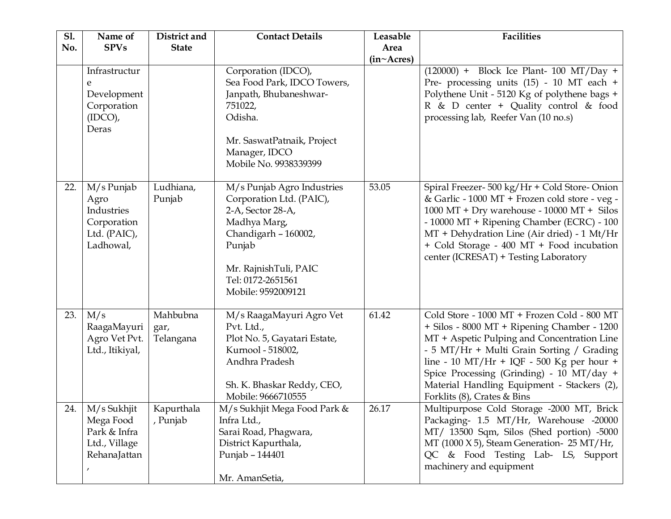| <b>S1.</b> | Name of                                                                      | District and                  | <b>Contact Details</b>                                                                                                                                                                            | Leasable   | <b>Facilities</b>                                                                                                                                                                                                                                                                                                                                              |
|------------|------------------------------------------------------------------------------|-------------------------------|---------------------------------------------------------------------------------------------------------------------------------------------------------------------------------------------------|------------|----------------------------------------------------------------------------------------------------------------------------------------------------------------------------------------------------------------------------------------------------------------------------------------------------------------------------------------------------------------|
| No.        | <b>SPVs</b>                                                                  | <b>State</b>                  |                                                                                                                                                                                                   | Area       |                                                                                                                                                                                                                                                                                                                                                                |
|            |                                                                              |                               |                                                                                                                                                                                                   | (in~Acres) |                                                                                                                                                                                                                                                                                                                                                                |
|            | Infrastructur<br>e<br>Development<br>Corporation<br>$(IDCO)$ ,<br>Deras      |                               | Corporation (IDCO),<br>Sea Food Park, IDCO Towers,<br>Janpath, Bhubaneshwar-<br>751022,<br>Odisha.<br>Mr. SaswatPatnaik, Project<br>Manager, IDCO<br>Mobile No. 9938339399                        |            | $(120000)$ + Block Ice Plant- 100 MT/Day +<br>Pre- processing units (15) - 10 MT each +<br>Polythene Unit - 5120 Kg of polythene bags +<br>R & D center + Quality control & food<br>processing lab, Reefer Van (10 no.s)                                                                                                                                       |
| 22.        | M/s Punjab<br>Agro<br>Industries<br>Corporation<br>Ltd. (PAIC),<br>Ladhowal, | Ludhiana,<br>Punjab           | M/s Punjab Agro Industries<br>Corporation Ltd. (PAIC),<br>2-A, Sector 28-A,<br>Madhya Marg,<br>Chandigarh - 160002,<br>Punjab<br>Mr. RajnishTuli, PAIC<br>Tel: 0172-2651561<br>Mobile: 9592009121 | 53.05      | Spiral Freezer- 500 kg/Hr + Cold Store-Onion<br>& Garlic - 1000 MT + Frozen cold store - veg -<br>1000 MT + Dry warehouse - $10000$ MT + Silos<br>- 10000 MT + Ripening Chamber (ECRC) - 100<br>MT + Dehydration Line (Air dried) - 1 Mt/Hr<br>+ Cold Storage - 400 MT + Food incubation<br>center (ICRESAT) + Testing Laboratory                              |
| 23.        | M/s<br>RaagaMayuri<br>Agro Vet Pvt.<br>Ltd., Itikiyal,                       | Mahbubna<br>gar,<br>Telangana | M/s RaagaMayuri Agro Vet<br>Pvt. Ltd.,<br>Plot No. 5, Gayatari Estate,<br>Kurnool - 518002,<br>Andhra Pradesh<br>Sh. K. Bhaskar Reddy, CEO,<br>Mobile: 9666710555                                 | 61.42      | Cold Store - 1000 MT + Frozen Cold - 800 MT<br>+ Silos - 8000 MT + Ripening Chamber - 1200<br>MT + Aspetic Pulping and Concentration Line<br>- 5 MT/Hr + Multi Grain Sorting / Grading<br>line - 10 MT/Hr + IQF - 500 Kg per hour +<br>Spice Processing (Grinding) - 10 MT/day +<br>Material Handling Equipment - Stackers (2),<br>Forklits (8), Crates & Bins |
| 24.        | M/s Sukhjit<br>Mega Food<br>Park & Infra<br>Ltd., Village<br>RehanaJattan    | Kapurthala<br>, Punjab        | M/s Sukhjit Mega Food Park &<br>Infra Ltd.,<br>Sarai Road, Phagwara,<br>District Kapurthala,<br>Punjab - 144401<br>Mr. AmanSetia,                                                                 | 26.17      | Multipurpose Cold Storage -2000 MT, Brick<br>Packaging- 1.5 MT/Hr, Warehouse -20000<br>MT/ 13500 Sqm, Silos (Shed portion) -5000<br>MT (1000 X 5), Steam Generation- 25 MT/Hr,<br>QC & Food Testing Lab- LS, Support<br>machinery and equipment                                                                                                                |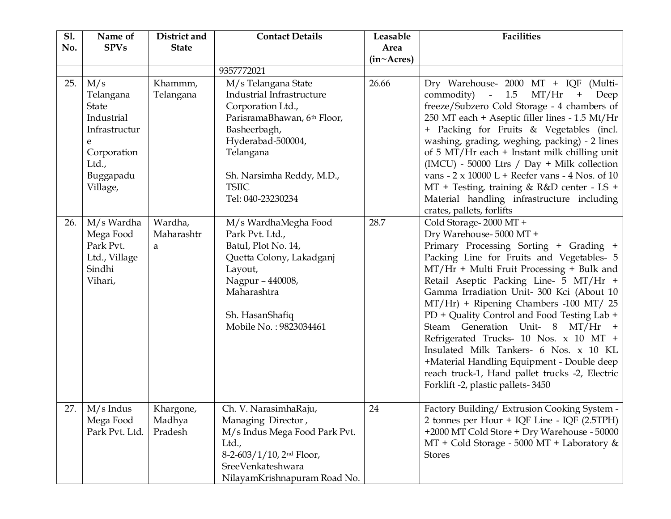| <b>S1.</b><br>No. | Name of<br><b>SPVs</b>                                                                                                | District and<br><b>State</b>   | <b>Contact Details</b>                                                                                                                                                                                                   | Leasable<br>Area<br>(in~Acres) | <b>Facilities</b>                                                                                                                                                                                                                                                                                                                                                                                                                                                                                                                                                                                                                  |
|-------------------|-----------------------------------------------------------------------------------------------------------------------|--------------------------------|--------------------------------------------------------------------------------------------------------------------------------------------------------------------------------------------------------------------------|--------------------------------|------------------------------------------------------------------------------------------------------------------------------------------------------------------------------------------------------------------------------------------------------------------------------------------------------------------------------------------------------------------------------------------------------------------------------------------------------------------------------------------------------------------------------------------------------------------------------------------------------------------------------------|
|                   |                                                                                                                       |                                | 9357772021                                                                                                                                                                                                               |                                |                                                                                                                                                                                                                                                                                                                                                                                                                                                                                                                                                                                                                                    |
| 25.               | M/s<br>Telangana<br><b>State</b><br>Industrial<br>Infrastructur<br>e<br>Corporation<br>Ltd.,<br>Buggapadu<br>Village, | Khammm,<br>Telangana           | M/s Telangana State<br>Industrial Infrastructure<br>Corporation Ltd.,<br>ParisramaBhawan, 6th Floor,<br>Basheerbagh,<br>Hyderabad-500004,<br>Telangana<br>Sh. Narsimha Reddy, M.D.,<br><b>TSIIC</b><br>Tel: 040-23230234 | 26.66                          | Dry Warehouse- 2000 MT + IQF (Multi-<br>MT/Hr<br>commodity) - 1.5<br>$\boldsymbol{+}$<br>Deep<br>freeze/Subzero Cold Storage - 4 chambers of<br>250 MT each + Aseptic filler lines - 1.5 Mt/Hr<br>+ Packing for Fruits & Vegetables (incl.<br>washing, grading, weghing, packing) - 2 lines<br>of 5 MT/Hr each + Instant milk chilling unit<br>(IMCU) - 50000 Ltrs / Day + Milk collection<br>vans $-2 \times 10000$ L + Reefer vans $-4$ Nos. of 10<br>MT + Testing, training & R&D center - LS +<br>Material handling infrastructure including<br>crates, pallets, forlifts                                                      |
| 26.               | M/s Wardha<br>Mega Food<br>Park Pvt.<br>Ltd., Village<br>Sindhi<br>Vihari,                                            | Wardha,<br>Maharashtr<br>a     | M/s WardhaMegha Food<br>Park Pvt. Ltd.,<br>Batul, Plot No. 14,<br>Quetta Colony, Lakadganj<br>Layout,<br>Nagpur - 440008,<br>Maharashtra<br>Sh. HasanShafiq<br>Mobile No.: 9823034461                                    | 28.7                           | Cold Storage-2000 MT +<br>Dry Warehouse-5000 MT +<br>Primary Processing Sorting + Grading +<br>Packing Line for Fruits and Vegetables- 5<br>MT/Hr + Multi Fruit Processing + Bulk and<br>Retail Aseptic Packing Line- 5 MT/Hr +<br>Gamma Irradiation Unit- 300 Kci (About 10<br>MT/Hr) + Ripening Chambers -100 MT/ 25<br>PD + Quality Control and Food Testing Lab +<br>Steam Generation Unit- 8 MT/Hr +<br>Refrigerated Trucks- 10 Nos. x 10 MT +<br>Insulated Milk Tankers- 6 Nos. x 10 KL<br>+Material Handling Equipment - Double deep<br>reach truck-1, Hand pallet trucks -2, Electric<br>Forklift -2, plastic pallets-3450 |
| 27.               | $M/s$ Indus<br>Mega Food<br>Park Pvt. Ltd.                                                                            | Khargone,<br>Madhya<br>Pradesh | Ch. V. NarasimhaRaju,<br>Managing Director,<br>M/s Indus Mega Food Park Pvt.<br>Ltd.,<br>$8-2-603/1/10$ , $2nd Floor$ ,<br>SreeVenkateshwara<br>NilayamKrishnapuram Road No.                                             | 24                             | Factory Building/ Extrusion Cooking System -<br>2 tonnes per Hour + IQF Line - IQF (2.5TPH)<br>+2000 MT Cold Store + Dry Warehouse - 50000<br>$MT + Cold Storage - 5000 MT + Laboratory &$<br><b>Stores</b>                                                                                                                                                                                                                                                                                                                                                                                                                        |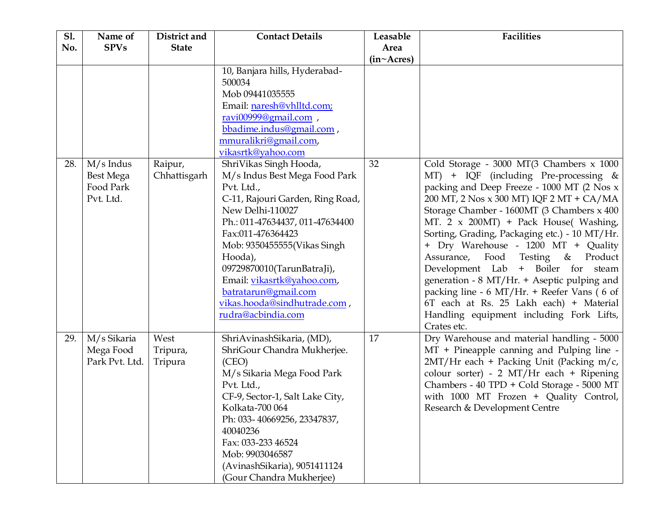| <b>Sl.</b> | Name of                                            | District and                | <b>Contact Details</b>                                                                                                                                                                                                                                                                                                                                                    | Leasable                  | <b>Facilities</b>                                                                                                                                                                                                                                                                                                                                                                                                                                                                                                                                                                                                                         |
|------------|----------------------------------------------------|-----------------------------|---------------------------------------------------------------------------------------------------------------------------------------------------------------------------------------------------------------------------------------------------------------------------------------------------------------------------------------------------------------------------|---------------------------|-------------------------------------------------------------------------------------------------------------------------------------------------------------------------------------------------------------------------------------------------------------------------------------------------------------------------------------------------------------------------------------------------------------------------------------------------------------------------------------------------------------------------------------------------------------------------------------------------------------------------------------------|
| No.        | <b>SPVs</b>                                        | <b>State</b>                |                                                                                                                                                                                                                                                                                                                                                                           | Area                      |                                                                                                                                                                                                                                                                                                                                                                                                                                                                                                                                                                                                                                           |
|            |                                                    |                             |                                                                                                                                                                                                                                                                                                                                                                           | $(in \sim A \text{cres})$ |                                                                                                                                                                                                                                                                                                                                                                                                                                                                                                                                                                                                                                           |
|            |                                                    |                             | 10, Banjara hills, Hyderabad-<br>500034<br>Mob 09441035555<br>Email: naresh@vhlltd.com;<br>ravi00999@gmail.com,<br>bbadime.indus@gmail.com,<br>mmuralikri@gmail.com,<br>vikasrtk@yahoo.com                                                                                                                                                                                |                           |                                                                                                                                                                                                                                                                                                                                                                                                                                                                                                                                                                                                                                           |
| 28.        | $M/s$ Indus<br>Best Mega<br>Food Park<br>Pvt. Ltd. | Raipur,<br>Chhattisgarh     | ShriVikas Singh Hooda,<br>M/s Indus Best Mega Food Park<br>Pvt. Ltd.,<br>C-11, Rajouri Garden, Ring Road,<br>New Delhi-110027<br>Ph.: 011-47634437, 011-47634400<br>Fax:011-476364423<br>Mob: 9350455555(Vikas Singh<br>Hooda),<br>09729870010(TarunBatraJi),<br>Email: vikasrtk@yahoo.com,<br>batratarun@gmail.com<br>vikas.hooda@sindhutrade.com,<br>rudra@acbindia.com | 32                        | Cold Storage - 3000 MT(3 Chambers x 1000<br>MT) + IQF (including Pre-processing &<br>packing and Deep Freeze - 1000 MT (2 Nos x<br>200 MT, 2 Nos x 300 MT) IQF 2 MT + CA/MA<br>Storage Chamber - 1600MT (3 Chambers x 400<br>MT. 2 x 200MT) + Pack House( Washing,<br>Sorting, Grading, Packaging etc.) - 10 MT/Hr.<br>+ Dry Warehouse - 1200 MT + Quality<br>Assurance, Food Testing & Product<br>Development Lab + Boiler for steam<br>generation - 8 MT/Hr. + Aseptic pulping and<br>packing line - 6 MT/Hr. + Reefer Vans (6 of<br>6T each at Rs. 25 Lakh each) + Material<br>Handling equipment including Fork Lifts,<br>Crates etc. |
| 29.        | M/s Sikaria<br>Mega Food<br>Park Pvt. Ltd.         | West<br>Tripura,<br>Tripura | ShriAvinashSikaria, (MD),<br>ShriGour Chandra Mukherjee.<br>(CEO)<br>M/s Sikaria Mega Food Park<br>Pvt. Ltd.,<br>CF-9, Sector-1, Salt Lake City,<br>Kolkata-700 064<br>Ph: 033-40669256, 23347837,<br>40040236<br>Fax: 033-233 46524<br>Mob: 9903046587<br>(AvinashSikaria), 9051411124<br>(Gour Chandra Mukherjee)                                                       | 17                        | Dry Warehouse and material handling - 5000<br>MT + Pineapple canning and Pulping line -<br>2MT/Hr each + Packing Unit (Packing m/c,<br>colour sorter) - 2 MT/Hr each + Ripening<br>Chambers - 40 TPD + Cold Storage - 5000 MT<br>with 1000 MT Frozen + Quality Control,<br>Research & Development Centre                                                                                                                                                                                                                                                                                                                                  |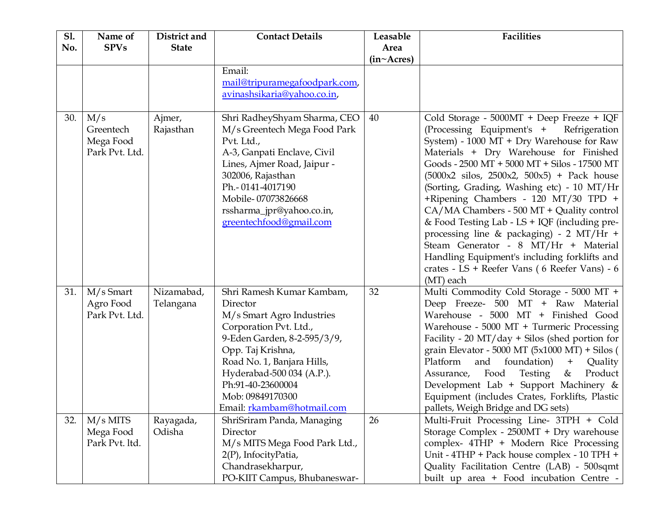| <b>S1.</b> | Name of                                         | District and            | <b>Contact Details</b>                                                                                                                                                                                                                                                             | Leasable                          | <b>Facilities</b>                                                                                                                                                                                                                                                                                                                                                                                                                                                                                                                                                                                                                                                            |
|------------|-------------------------------------------------|-------------------------|------------------------------------------------------------------------------------------------------------------------------------------------------------------------------------------------------------------------------------------------------------------------------------|-----------------------------------|------------------------------------------------------------------------------------------------------------------------------------------------------------------------------------------------------------------------------------------------------------------------------------------------------------------------------------------------------------------------------------------------------------------------------------------------------------------------------------------------------------------------------------------------------------------------------------------------------------------------------------------------------------------------------|
| No.        | <b>SPVs</b>                                     | <b>State</b>            |                                                                                                                                                                                                                                                                                    | Area<br>$(in \sim A \text{cres})$ |                                                                                                                                                                                                                                                                                                                                                                                                                                                                                                                                                                                                                                                                              |
|            |                                                 |                         | Email:<br>mail@tripuramegafoodpark.com,<br>avinashsikaria@yahoo.co.in,                                                                                                                                                                                                             |                                   |                                                                                                                                                                                                                                                                                                                                                                                                                                                                                                                                                                                                                                                                              |
| 30.        | M/s<br>Greentech<br>Mega Food<br>Park Pvt. Ltd. | Ajmer,<br>Rajasthan     | Shri RadheyShyam Sharma, CEO<br>M/s Greentech Mega Food Park<br>Pvt. Ltd.,<br>A-3, Ganpati Enclave, Civil<br>Lines, Ajmer Road, Jaipur -<br>302006, Rajasthan<br>Ph.-0141-4017190<br>Mobile-07073826668<br>rssharma_jpr@yahoo.co.in,<br>greentechfood@gmail.com                    | 40                                | Cold Storage - 5000MT + Deep Freeze + IQF<br>(Processing Equipment's +<br>Refrigeration<br>System) - 1000 MT + Dry Warehouse for Raw<br>Materials + Dry Warehouse for Finished<br>Goods - 2500 MT + 5000 MT + Silos - 17500 MT<br>$(5000x2 \text{ silos}, 2500x2, 500x5)$ + Pack house<br>(Sorting, Grading, Washing etc) - 10 MT/Hr<br>+Ripening Chambers - 120 MT/30 TPD +<br>CA/MA Chambers - 500 MT + Quality control<br>& Food Testing Lab - LS + IQF (including pre-<br>processing line & packaging) - 2 MT/Hr +<br>Steam Generator - 8 MT/Hr + Material<br>Handling Equipment's including forklifts and<br>crates - LS + Reefer Vans (6 Reefer Vans) - 6<br>(MT) each |
| 31.        | M/s Smart<br>Agro Food<br>Park Pvt. Ltd.        | Nizamabad,<br>Telangana | Shri Ramesh Kumar Kambam,<br>Director<br>M/s Smart Agro Industries<br>Corporation Pvt. Ltd.,<br>9-Eden Garden, 8-2-595/3/9,<br>Opp. Taj Krishna,<br>Road No. 1, Banjara Hills,<br>Hyderabad-500 034 (A.P.).<br>Ph:91-40-23600004<br>Mob: 09849170300<br>Email: rkambam@hotmail.com | 32                                | Multi Commodity Cold Storage - 5000 MT +<br>Deep Freeze- 500 MT + Raw Material<br>Warehouse - 5000 MT + Finished Good<br>Warehouse - 5000 MT + Turmeric Processing<br>Facility - 20 MT/day + Silos (shed portion for<br>grain Elevator - 5000 MT $(5x1000 \text{ MT})$ + Silos (<br>Platform and foundation)<br>$+$<br>Quality<br>Assurance, Food<br>Testing<br>Product<br>&<br>Development Lab + Support Machinery &<br>Equipment (includes Crates, Forklifts, Plastic<br>pallets, Weigh Bridge and DG sets)                                                                                                                                                                |
| 32.        | $M/s$ MITS<br>Mega Food<br>Park Pvt. ltd.       | Rayagada,<br>Odisha     | ShriSriram Panda, Managing<br>Director<br>M/s MITS Mega Food Park Ltd.,<br>2(P), InfocityPatia,<br>Chandrasekharpur,<br>PO-KIIT Campus, Bhubaneswar-                                                                                                                               | 26                                | Multi-Fruit Processing Line- 3TPH + Cold<br>Storage Complex - 2500MT + Dry warehouse<br>complex- 4THP + Modern Rice Processing<br>Unit - 4THP + Pack house complex - 10 TPH +<br>Quality Facilitation Centre (LAB) - 500sqmt<br>built up area + Food incubation Centre -                                                                                                                                                                                                                                                                                                                                                                                                     |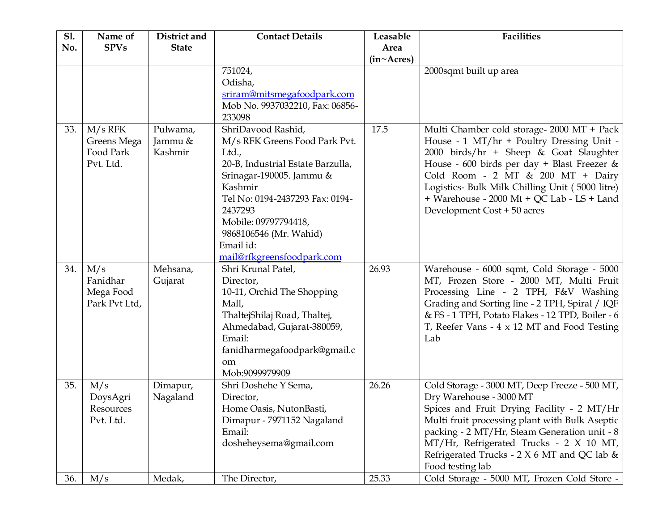| <b>S1.</b> | Name of                                            | District and                   | <b>Contact Details</b>                                                                                                                                                                                                                                                              | Leasable   | <b>Facilities</b>                                                                                                                                                                                                                                                                                                                                     |
|------------|----------------------------------------------------|--------------------------------|-------------------------------------------------------------------------------------------------------------------------------------------------------------------------------------------------------------------------------------------------------------------------------------|------------|-------------------------------------------------------------------------------------------------------------------------------------------------------------------------------------------------------------------------------------------------------------------------------------------------------------------------------------------------------|
| No.        | <b>SPVs</b>                                        | <b>State</b>                   |                                                                                                                                                                                                                                                                                     | Area       |                                                                                                                                                                                                                                                                                                                                                       |
|            |                                                    |                                |                                                                                                                                                                                                                                                                                     | (in~Acres) |                                                                                                                                                                                                                                                                                                                                                       |
|            |                                                    |                                | 751024,<br>Odisha,<br>sriram@mitsmegafoodpark.com<br>Mob No. 9937032210, Fax: 06856-<br>233098                                                                                                                                                                                      |            | 2000sqmt built up area                                                                                                                                                                                                                                                                                                                                |
| 33.        | $M/s$ RFK<br>Greens Mega<br>Food Park<br>Pvt. Ltd. | Pulwama,<br>Jammu &<br>Kashmir | ShriDavood Rashid,<br>M/s RFK Greens Food Park Pvt.<br>Ltd.,<br>20-B, Industrial Estate Barzulla,<br>Srinagar-190005. Jammu &<br>Kashmir<br>Tel No: 0194-2437293 Fax: 0194-<br>2437293<br>Mobile: 09797794418,<br>9868106546 (Mr. Wahid)<br>Email id:<br>mail@rfkgreensfoodpark.com | 17.5       | Multi Chamber cold storage- 2000 MT + Pack<br>House - 1 MT/hr + Poultry Dressing Unit -<br>2000 birds/hr + Sheep & Goat Slaughter<br>House - 600 birds per day + Blast Freezer &<br>Cold Room - 2 MT & 200 MT + Dairy<br>Logistics- Bulk Milk Chilling Unit (5000 litre)<br>+ Warehouse - 2000 Mt + QC Lab - LS + Land<br>Development Cost + 50 acres |
| 34.        | M/s<br>Fanidhar<br>Mega Food<br>Park Pvt Ltd,      | Mehsana,<br>Gujarat            | Shri Krunal Patel,<br>Director,<br>10-11, Orchid The Shopping<br>Mall,<br>ThaltejShilaj Road, Thaltej,<br>Ahmedabad, Gujarat-380059,<br>Email:<br>fanidharmegafoodpark@gmail.c<br><sub>om</sub><br>Mob:9099979909                                                                   | 26.93      | Warehouse - 6000 sqmt, Cold Storage - 5000<br>MT, Frozen Store - 2000 MT, Multi Fruit<br>Processing Line - 2 TPH, F&V Washing<br>Grading and Sorting line - 2 TPH, Spiral / IQF<br>& FS - 1 TPH, Potato Flakes - 12 TPD, Boiler - 6<br>T, Reefer Vans - 4 x 12 MT and Food Testing<br>Lab                                                             |
| 35.        | M/s<br>DoysAgri<br>Resources<br>Pvt. Ltd.          | Dimapur,<br>Nagaland           | Shri Doshehe Y Sema,<br>Director,<br>Home Oasis, NutonBasti,<br>Dimapur - 7971152 Nagaland<br>Email:<br>dosheheysema@gmail.com                                                                                                                                                      | 26.26      | Cold Storage - 3000 MT, Deep Freeze - 500 MT,<br>Dry Warehouse - 3000 MT<br>Spices and Fruit Drying Facility - 2 MT/Hr<br>Multi fruit processing plant with Bulk Aseptic<br>packing - 2 MT/Hr, Steam Generation unit - 8<br>MT/Hr, Refrigerated Trucks - 2 X 10 MT,<br>Refrigerated Trucks - $2 X 6 MT$ and QC lab &<br>Food testing lab              |
| 36.        | M/s                                                | Medak,                         | The Director,                                                                                                                                                                                                                                                                       | 25.33      | Cold Storage - 5000 MT, Frozen Cold Store -                                                                                                                                                                                                                                                                                                           |